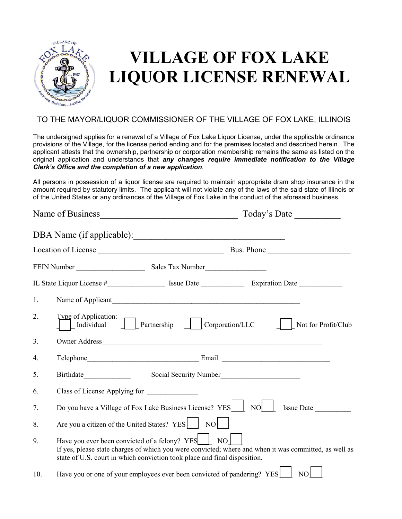

# **VILLAGE OF FOX LAKE LIQUOR LICENSE RENEWAL**

### TO THE MAYOR/LIQUOR COMMISSIONER OF THE VILLAGE OF FOX LAKE, ILLINOIS

The undersigned applies for a renewal of a Village of Fox Lake Liquor License, under the applicable ordinance provisions of the Village, for the license period ending and for the premises located and described herein. The applicant attests that the ownership, partnership or corporation membership remains the same as listed on the original application and understands that *any changes require immediate notification to the Village Clerk's Office and the completion of a new application*.

All persons in possession of a liquor license are required to maintain appropriate dram shop insurance in the amount required by statutory limits. The applicant will not violate any of the laws of the said state of Illinois or of the United States or any ordinances of the Village of Fox Lake in the conduct of the aforesaid business.

|     |                                                                                                                                                                                                                                        |                                                                         | Today's Date                                                                                                   |  |  |  |  |
|-----|----------------------------------------------------------------------------------------------------------------------------------------------------------------------------------------------------------------------------------------|-------------------------------------------------------------------------|----------------------------------------------------------------------------------------------------------------|--|--|--|--|
|     |                                                                                                                                                                                                                                        | DBA Name (if applicable):                                               |                                                                                                                |  |  |  |  |
|     |                                                                                                                                                                                                                                        |                                                                         |                                                                                                                |  |  |  |  |
|     |                                                                                                                                                                                                                                        |                                                                         |                                                                                                                |  |  |  |  |
|     |                                                                                                                                                                                                                                        |                                                                         | IL State Liquor License #_________________________ Issue Date ___________________ Expiration Date ____________ |  |  |  |  |
| 1.  |                                                                                                                                                                                                                                        | Name of Applicant                                                       |                                                                                                                |  |  |  |  |
| 2.  | Type of Application:                                                                                                                                                                                                                   | Individual Partnership Corporation/LLC                                  | Not for Profit/Club                                                                                            |  |  |  |  |
| 3.  |                                                                                                                                                                                                                                        |                                                                         |                                                                                                                |  |  |  |  |
| 4.  |                                                                                                                                                                                                                                        |                                                                         |                                                                                                                |  |  |  |  |
| 5.  |                                                                                                                                                                                                                                        | Social Security Number                                                  |                                                                                                                |  |  |  |  |
| 6.  | Class of License Applying for                                                                                                                                                                                                          |                                                                         |                                                                                                                |  |  |  |  |
| 7.  |                                                                                                                                                                                                                                        | Do you have a Village of Fox Lake Business License? YES                 | $NO$  <br>Issue Date                                                                                           |  |  |  |  |
| 8.  |                                                                                                                                                                                                                                        | Are you a citizen of the United States? YES     NO                      |                                                                                                                |  |  |  |  |
| 9.  | Have you ever been convicted of a felony? YES NO<br>If yes, please state charges of which you were convicted; where and when it was committed, as well as<br>state of U.S. court in which conviction took place and final disposition. |                                                                         |                                                                                                                |  |  |  |  |
| 10. |                                                                                                                                                                                                                                        | Have you or one of your employees ever been convicted of pandering? YES | NO                                                                                                             |  |  |  |  |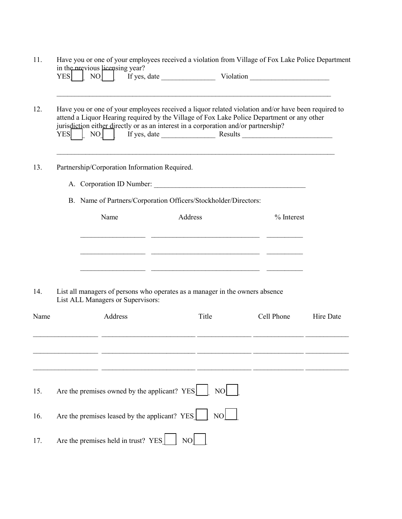| 12.  | in the previous licensing year?<br><b>YES</b><br>NO<br>Have you or one of your employees received a liquor related violation and/or have been required to<br>attend a Liquor Hearing required by the Village of Fox Lake Police Department or any other<br>jurisdiction either directly or as an interest in a corporation and/or partnership? |                                               |                                                                                                                                                                                                                                                                                                                                                                                                                                                                       |              |           |  |  |  |  |
|------|------------------------------------------------------------------------------------------------------------------------------------------------------------------------------------------------------------------------------------------------------------------------------------------------------------------------------------------------|-----------------------------------------------|-----------------------------------------------------------------------------------------------------------------------------------------------------------------------------------------------------------------------------------------------------------------------------------------------------------------------------------------------------------------------------------------------------------------------------------------------------------------------|--------------|-----------|--|--|--|--|
|      |                                                                                                                                                                                                                                                                                                                                                |                                               | $\begin{bmatrix} \begin{bmatrix} \begin{bmatrix} 1 & 1 & 1 \end{bmatrix} & \begin{bmatrix} 1 & 1 & 1 \end{bmatrix} \end{bmatrix} & \begin{bmatrix} 1 & 1 & 1 \end{bmatrix} \end{bmatrix}$ $\begin{bmatrix} \begin{bmatrix} 1 & 1 & 1 \end{bmatrix} & \begin{bmatrix} 1 & 1 & 1 \end{bmatrix} & \begin{bmatrix} 1 & 1 & 1 \end{bmatrix} & \begin{bmatrix} 1 & 1 & 1 \end{bmatrix} & \begin{bmatrix} 1 & 1 & 1 \end{bmatrix} & \begin{bmatrix} 1 & 1 & 1 \end{bmatrix}$ |              |           |  |  |  |  |
| 13.  |                                                                                                                                                                                                                                                                                                                                                | Partnership/Corporation Information Required. |                                                                                                                                                                                                                                                                                                                                                                                                                                                                       |              |           |  |  |  |  |
|      |                                                                                                                                                                                                                                                                                                                                                |                                               |                                                                                                                                                                                                                                                                                                                                                                                                                                                                       |              |           |  |  |  |  |
|      |                                                                                                                                                                                                                                                                                                                                                |                                               | B. Name of Partners/Corporation Officers/Stockholder/Directors:                                                                                                                                                                                                                                                                                                                                                                                                       |              |           |  |  |  |  |
|      |                                                                                                                                                                                                                                                                                                                                                | Name                                          | Address                                                                                                                                                                                                                                                                                                                                                                                                                                                               | $%$ Interest |           |  |  |  |  |
|      |                                                                                                                                                                                                                                                                                                                                                |                                               | the control of the control of the control of the control of the control of the control of                                                                                                                                                                                                                                                                                                                                                                             |              |           |  |  |  |  |
|      |                                                                                                                                                                                                                                                                                                                                                |                                               |                                                                                                                                                                                                                                                                                                                                                                                                                                                                       |              |           |  |  |  |  |
|      |                                                                                                                                                                                                                                                                                                                                                |                                               |                                                                                                                                                                                                                                                                                                                                                                                                                                                                       |              |           |  |  |  |  |
| 14.  |                                                                                                                                                                                                                                                                                                                                                | List ALL Managers or Supervisors:             | List all managers of persons who operates as a manager in the owners absence                                                                                                                                                                                                                                                                                                                                                                                          |              |           |  |  |  |  |
| Name |                                                                                                                                                                                                                                                                                                                                                | Address                                       | Title                                                                                                                                                                                                                                                                                                                                                                                                                                                                 | Cell Phone   | Hire Date |  |  |  |  |
|      |                                                                                                                                                                                                                                                                                                                                                |                                               |                                                                                                                                                                                                                                                                                                                                                                                                                                                                       |              |           |  |  |  |  |
|      |                                                                                                                                                                                                                                                                                                                                                |                                               |                                                                                                                                                                                                                                                                                                                                                                                                                                                                       |              |           |  |  |  |  |
|      |                                                                                                                                                                                                                                                                                                                                                |                                               |                                                                                                                                                                                                                                                                                                                                                                                                                                                                       |              |           |  |  |  |  |
| 15.  |                                                                                                                                                                                                                                                                                                                                                | Are the premises owned by the applicant? YES  | NO                                                                                                                                                                                                                                                                                                                                                                                                                                                                    |              |           |  |  |  |  |
|      |                                                                                                                                                                                                                                                                                                                                                | Are the premises leased by the applicant? YES | NO                                                                                                                                                                                                                                                                                                                                                                                                                                                                    |              |           |  |  |  |  |
|      |                                                                                                                                                                                                                                                                                                                                                |                                               |                                                                                                                                                                                                                                                                                                                                                                                                                                                                       |              |           |  |  |  |  |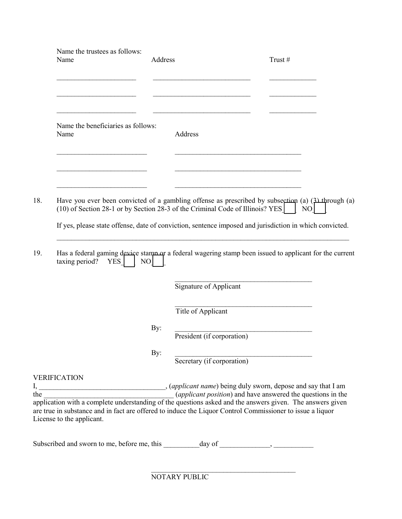|     | Name the trustees as follows:<br>Name                                                                                                                                                                                                                                                                                                      | Address |                                                                                                                                                                                       | Trust# |
|-----|--------------------------------------------------------------------------------------------------------------------------------------------------------------------------------------------------------------------------------------------------------------------------------------------------------------------------------------------|---------|---------------------------------------------------------------------------------------------------------------------------------------------------------------------------------------|--------|
|     |                                                                                                                                                                                                                                                                                                                                            |         |                                                                                                                                                                                       |        |
|     | Name the beneficiaries as follows:<br>Name                                                                                                                                                                                                                                                                                                 |         | Address                                                                                                                                                                               |        |
|     |                                                                                                                                                                                                                                                                                                                                            |         |                                                                                                                                                                                       |        |
| 18. |                                                                                                                                                                                                                                                                                                                                            |         | Have you ever been convicted of a gambling offense as prescribed by subsection (a) $(3)$ through (a)<br>(10) of Section 28-1 or by Section 28-3 of the Criminal Code of Illinois? YES | NO     |
|     |                                                                                                                                                                                                                                                                                                                                            |         | If yes, please state offense, date of conviction, sentence imposed and jurisdiction in which convicted.                                                                               |        |
| 19. | taxing period?<br><b>YES</b><br>NO                                                                                                                                                                                                                                                                                                         |         | Has a federal gaming device stamp or a federal wagering stamp been issued to applicant for the current                                                                                |        |
|     |                                                                                                                                                                                                                                                                                                                                            |         | Signature of Applicant                                                                                                                                                                |        |
|     |                                                                                                                                                                                                                                                                                                                                            |         | Title of Applicant                                                                                                                                                                    |        |
|     |                                                                                                                                                                                                                                                                                                                                            | By:     | President (if corporation)                                                                                                                                                            |        |
|     |                                                                                                                                                                                                                                                                                                                                            | By:     | Secretary (if corporation)                                                                                                                                                            |        |
|     | <b>VERIFICATION</b>                                                                                                                                                                                                                                                                                                                        |         |                                                                                                                                                                                       |        |
|     | the <i>(applicant position)</i> and have answered the questions in the application with a complete understanding of the questions asked and the answers given. The answers given<br>the $\qquad$<br>are true in substance and in fact are offered to induce the Liquor Control Commissioner to issue a liquor<br>License to the applicant. |         |                                                                                                                                                                                       |        |
|     |                                                                                                                                                                                                                                                                                                                                            |         |                                                                                                                                                                                       |        |

NOTARY PUBLIC

 $\frac{1}{2}$  , and the contract of the contract of the contract of the contract of the contract of the contract of the contract of the contract of the contract of the contract of the contract of the contract of the contract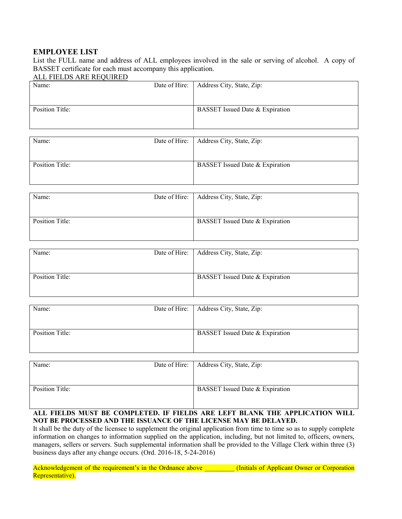#### **EMPLOYEE LIST**

List the FULL name and address of ALL employees involved in the sale or serving of alcohol. A copy of BASSET certificate for each must accompany this application.

#### ALL FIELDS ARE REQUIRED

| Name:           | Date of Hire:   Address City, State, Zip: |
|-----------------|-------------------------------------------|
|                 |                                           |
|                 |                                           |
| Position Title: | BASSET Issued Date & Expiration           |
|                 |                                           |
|                 |                                           |

| Name:           | Date of Hire:   Address City, State, Zip: |
|-----------------|-------------------------------------------|
|                 |                                           |
| Position Title: | BASSET Issued Date & Expiration           |
|                 |                                           |

| Name:           | Date of Hire:   Address City, State, Zip: |
|-----------------|-------------------------------------------|
|                 |                                           |
| Position Title: | BASSET Issued Date & Expiration           |

| Name:           | Date of Hire:   Address City, State, Zip: |
|-----------------|-------------------------------------------|
|                 |                                           |
|                 |                                           |
| Position Title: | BASSET Issued Date & Expiration           |
|                 |                                           |
|                 |                                           |

| Name:           | Date of Hire:   Address City, State, Zip: |
|-----------------|-------------------------------------------|
|                 |                                           |
| Position Title: | BASSET Issued Date & Expiration           |
|                 |                                           |

| Name:           | Date of Hire:   Address City, State, Zip: |
|-----------------|-------------------------------------------|
|                 |                                           |
|                 |                                           |
| Position Title: | BASSET Issued Date & Expiration           |
|                 |                                           |
|                 |                                           |

#### **ALL FIELDS MUST BE COMPLETED. IF FIELDS ARE LEFT BLANK THE APPLICATION WILL NOT BE PROCESSED AND THE ISSUANCE OF THE LICENSE MAY BE DELAYED.**

It shall be the duty of the licensee to supplement the original application from time to time so as to supply complete information on changes to information supplied on the application, including, but not limited to, officers, owners, managers, sellers or servers. Such supplemental information shall be provided to the Village Clerk within three (3) business days after any change occurs. (Ord. 2016-18, 5-24-2016)

| Acknowledgement of the requirement's in the Ordnance above |  |  |  |  |  |
|------------------------------------------------------------|--|--|--|--|--|
| Representative).                                           |  |  |  |  |  |